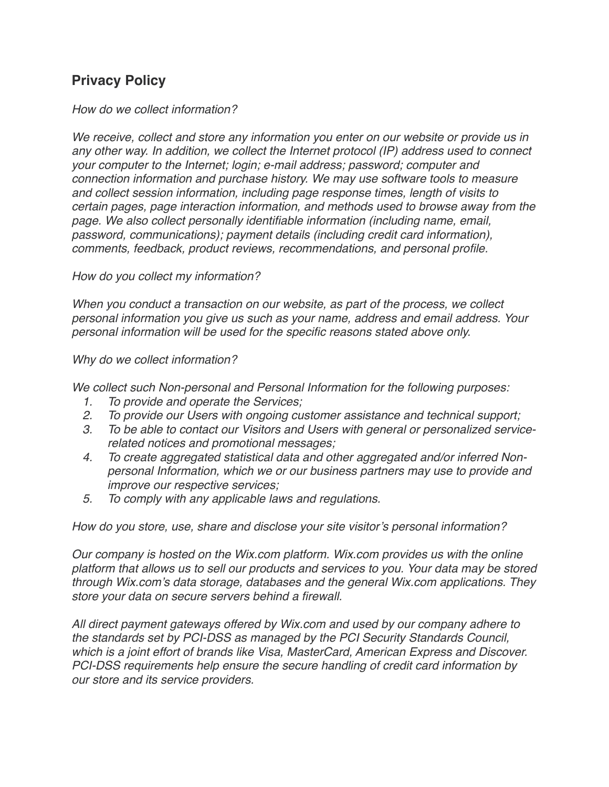## **Privacy Policy**

## *How do we collect information?*

*We receive, collect and store any information you enter on our website or provide us in any other way. In addition, we collect the Internet protocol (IP) address used to connect your computer to the Internet; login; e-mail address; password; computer and connection information and purchase history. We may use software tools to measure and collect session information, including page response times, length of visits to certain pages, page interaction information, and methods used to browse away from the page. We also collect personally identifiable information (including name, email, password, communications); payment details (including credit card information), comments, feedback, product reviews, recommendations, and personal profile.* 

*How do you collect my information?* 

*When you conduct a transaction on our website, as part of the process, we collect personal information you give us such as your name, address and email address. Your personal information will be used for the specific reasons stated above only.* 

*Why do we collect information?* 

*We collect such Non-personal and Personal Information for the following purposes:*

- *1. To provide and operate the Services;*
- *2. To provide our Users with ongoing customer assistance and technical support;*
- *3. To be able to contact our Visitors and Users with general or personalized servicerelated notices and promotional messages;*
- *4. To create aggregated statistical data and other aggregated and/or inferred Nonpersonal Information, which we or our business partners may use to provide and improve our respective services;*
- *5. To comply with any applicable laws and regulations.*

*How do you store, use, share and disclose your site visitor's personal information?* 

*Our company is hosted on the Wix.com platform. Wix.com provides us with the online platform that allows us to sell our products and services to you. Your data may be stored through Wix.com's data storage, databases and the general Wix.com applications. They store your data on secure servers behind a firewall.*

*All direct payment gateways offered by Wix.com and used by our company adhere to the standards set by PCI-DSS as managed by the PCI Security Standards Council, which is a joint effort of brands like Visa, MasterCard, American Express and Discover. PCI-DSS requirements help ensure the secure handling of credit card information by our store and its service providers.*